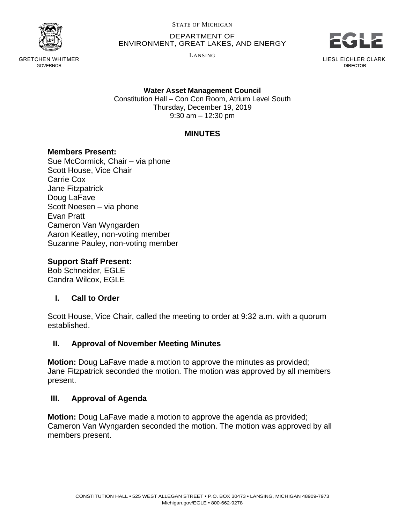

GRETCHEN WHITMER GOVERNOR

STATE OF MICHIGAN

DEPARTMENT OF ENVIRONMENT, GREAT LAKES, AND ENERGY

LANSING



LIESL EICHLER CLARK DIRECTOR

**Water Asset Management Council** Constitution Hall – Con Con Room, Atrium Level South Thursday, December 19, 2019 9:30 am – 12:30 pm

# **MINUTES**

### **Members Present:**

Sue McCormick, Chair – via phone Scott House, Vice Chair Carrie Cox Jane Fitzpatrick Doug LaFave Scott Noesen – via phone Evan Pratt Cameron Van Wyngarden Aaron Keatley, non-voting member Suzanne Pauley, non-voting member

### **Support Staff Present:**

Bob Schneider, EGLE Candra Wilcox, EGLE

# **I. Call to Order**

Scott House, Vice Chair, called the meeting to order at 9:32 a.m. with a quorum established.

# **II. Approval of November Meeting Minutes**

**Motion:** Doug LaFave made a motion to approve the minutes as provided; Jane Fitzpatrick seconded the motion. The motion was approved by all members present.

#### **III. Approval of Agenda**

**Motion:** Doug LaFave made a motion to approve the agenda as provided; Cameron Van Wyngarden seconded the motion. The motion was approved by all members present.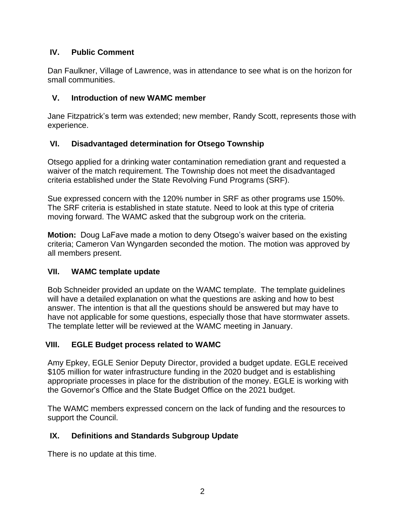#### **IV. Public Comment**

Dan Faulkner, Village of Lawrence, was in attendance to see what is on the horizon for small communities.

### **V. Introduction of new WAMC member**

Jane Fitzpatrick's term was extended; new member, Randy Scott, represents those with experience.

### **VI. Disadvantaged determination for Otsego Township**

Otsego applied for a drinking water contamination remediation grant and requested a waiver of the match requirement. The Township does not meet the disadvantaged criteria established under the State Revolving Fund Programs (SRF).

Sue expressed concern with the 120% number in SRF as other programs use 150%. The SRF criteria is established in state statute. Need to look at this type of criteria moving forward. The WAMC asked that the subgroup work on the criteria.

**Motion:** Doug LaFave made a motion to deny Otsego's waiver based on the existing criteria; Cameron Van Wyngarden seconded the motion. The motion was approved by all members present.

#### **VII. WAMC template update**

Bob Schneider provided an update on the WAMC template. The template guidelines will have a detailed explanation on what the questions are asking and how to best answer. The intention is that all the questions should be answered but may have to have not applicable for some questions, especially those that have stormwater assets. The template letter will be reviewed at the WAMC meeting in January.

#### **VIII. EGLE Budget process related to WAMC**

Amy Epkey, EGLE Senior Deputy Director, provided a budget update. EGLE received \$105 million for water infrastructure funding in the 2020 budget and is establishing appropriate processes in place for the distribution of the money. EGLE is working with the Governor's Office and the State Budget Office on the 2021 budget.

The WAMC members expressed concern on the lack of funding and the resources to support the Council.

# **IX. Definitions and Standards Subgroup Update**

There is no update at this time.